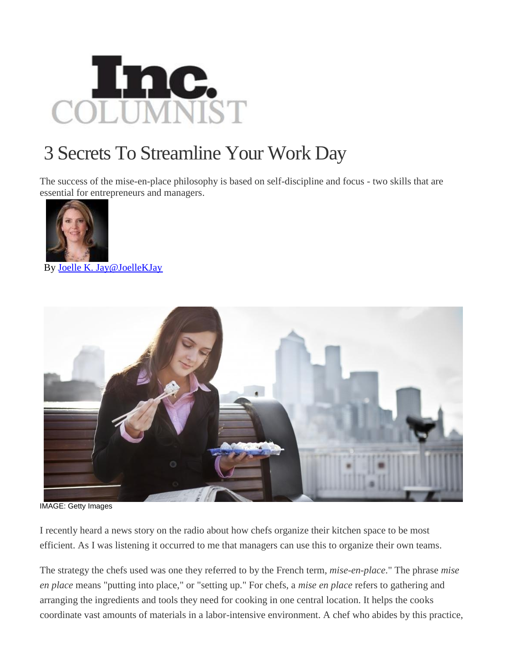

## 3 Secrets To Streamline Your Work Day

The success of the mise-en-place philosophy is based on self-discipline and focus - two skills that are essential for entrepreneurs and managers.



By Joelle K. Jay@JoelleKJay



IMAGE: Getty Images

I recently heard a news story on the radio about how chefs organize their kitchen space to be most efficient. As I was listening it occurred to me that managers can use this to organize their own teams.

The strategy the chefs used was one they referred to by the French term, *mise-en-place*." The phrase *mise en place* means "putting into place," or "setting up." For chefs, a *mise en place* refers to gathering and arranging the ingredients and tools they need for cooking in one central location. It helps the cooks coordinate vast amounts of materials in a labor-intensive environment. A chef who abides by this practice,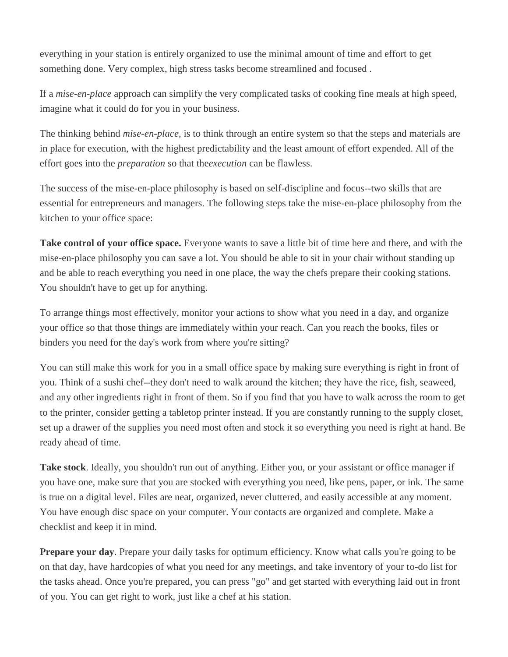everything in your station is entirely organized to use the minimal amount of time and effort to get something done. Very complex, high stress tasks become streamlined and focused .

If a *mise-en-place* approach can simplify the very complicated tasks of cooking fine meals at high speed, imagine what it could do for you in your business.

The thinking behind *mise-en-place,* is to think through an entire system so that the steps and materials are in place for execution, with the highest predictability and the least amount of effort expended. All of the effort goes into the *preparation* so that the*execution* can be flawless.

The success of the mise-en-place philosophy is based on self-discipline and focus--two skills that are essential for entrepreneurs and managers. The following steps take the mise-en-place philosophy from the kitchen to your office space:

**Take control of your office space.** Everyone wants to save a little bit of time here and there, and with the mise-en-place philosophy you can save a lot. You should be able to sit in your chair without standing up and be able to reach everything you need in one place, the way the chefs prepare their cooking stations. You shouldn't have to get up for anything.

To arrange things most effectively, monitor your actions to show what you need in a day, and organize your office so that those things are immediately within your reach. Can you reach the books, files or binders you need for the day's work from where you're sitting?

You can still make this work for you in a small office space by making sure everything is right in front of you. Think of a sushi chef--they don't need to walk around the kitchen; they have the rice, fish, seaweed, and any other ingredients right in front of them. So if you find that you have to walk across the room to get to the printer, consider getting a tabletop printer instead. If you are constantly running to the supply closet, set up a drawer of the supplies you need most often and stock it so everything you need is right at hand. Be ready ahead of time.

**Take stock**. Ideally, you shouldn't run out of anything. Either you, or your assistant or office manager if you have one, make sure that you are stocked with everything you need, like pens, paper, or ink. The same is true on a digital level. Files are neat, organized, never cluttered, and easily accessible at any moment. You have enough disc space on your computer. Your contacts are organized and complete. Make a checklist and keep it in mind.

**Prepare your day**. Prepare your daily tasks for optimum efficiency. Know what calls you're going to be on that day, have hardcopies of what you need for any meetings, and take inventory of your to-do list for the tasks ahead. Once you're prepared, you can press "go" and get started with everything laid out in front of you. You can get right to work, just like a chef at his station.